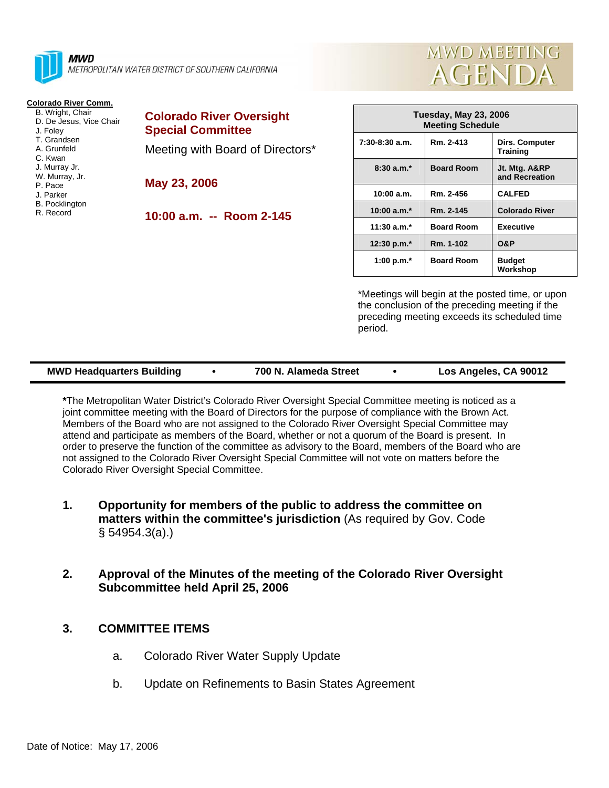

**MWD** METROPOLITAN WATER DISTRICT OF SOUTHERN CALIFORNIA

## **Colorado River Comm.**

 B. Wright, Chair D. De Jesus, Vice Chair J. Foley T. Grandsen A. Grunfeld C. Kwan J. Murray Jr. W. Murray, Jr. P. Pace J. Parker B. Pocklington R. Record

| <b>Colorado River Oversight</b><br><b>Special Committee</b> |
|-------------------------------------------------------------|
| Meeting with Board of Directors*                            |
| May 23, 2006                                                |
| 10:00 a.m. -- Room 2-145                                    |



| Tuesday, May 23, 2006<br><b>Meeting Schedule</b> |                   |                                          |  |
|--------------------------------------------------|-------------------|------------------------------------------|--|
| $7:30-8:30$ a.m.                                 | Rm. 2-413         | <b>Dirs. Computer</b><br><b>Training</b> |  |
| $8:30a.m.*$                                      | <b>Board Room</b> | Jt. Mtg. A&RP<br>and Recreation          |  |
| 10:00 a.m.                                       | Rm. 2-456         | <b>CALFED</b>                            |  |
| 10:00 $a.m.*$                                    | Rm. 2-145         | <b>Colorado River</b>                    |  |
| $11:30$ a.m.*                                    | <b>Board Room</b> | <b>Executive</b>                         |  |
| 12:30 p.m. $*$                                   | Rm. 1-102         | <b>O&amp;P</b>                           |  |
| 1:00 p.m. $*$                                    | <b>Board Room</b> | <b>Budget</b><br>Workshop                |  |

\*Meetings will begin at the posted time, or upon the conclusion of the preceding meeting if the preceding meeting exceeds its scheduled time period.

**\***The Metropolitan Water District's Colorado River Oversight Special Committee meeting is noticed as a joint committee meeting with the Board of Directors for the purpose of compliance with the Brown Act. Members of the Board who are not assigned to the Colorado River Oversight Special Committee may attend and participate as members of the Board, whether or not a quorum of the Board is present. In order to preserve the function of the committee as advisory to the Board, members of the Board who are not assigned to the Colorado River Oversight Special Committee will not vote on matters before the Colorado River Oversight Special Committee.

- **1. Opportunity for members of the public to address the committee on matters within the committee's jurisdiction** (As required by Gov. Code § 54954.3(a).)
- **2. Approval of the Minutes of the meeting of the Colorado River Oversight Subcommittee held April 25, 2006**

## **3. COMMITTEE ITEMS**

- a. Colorado River Water Supply Update
- b. Update on Refinements to Basin States Agreement